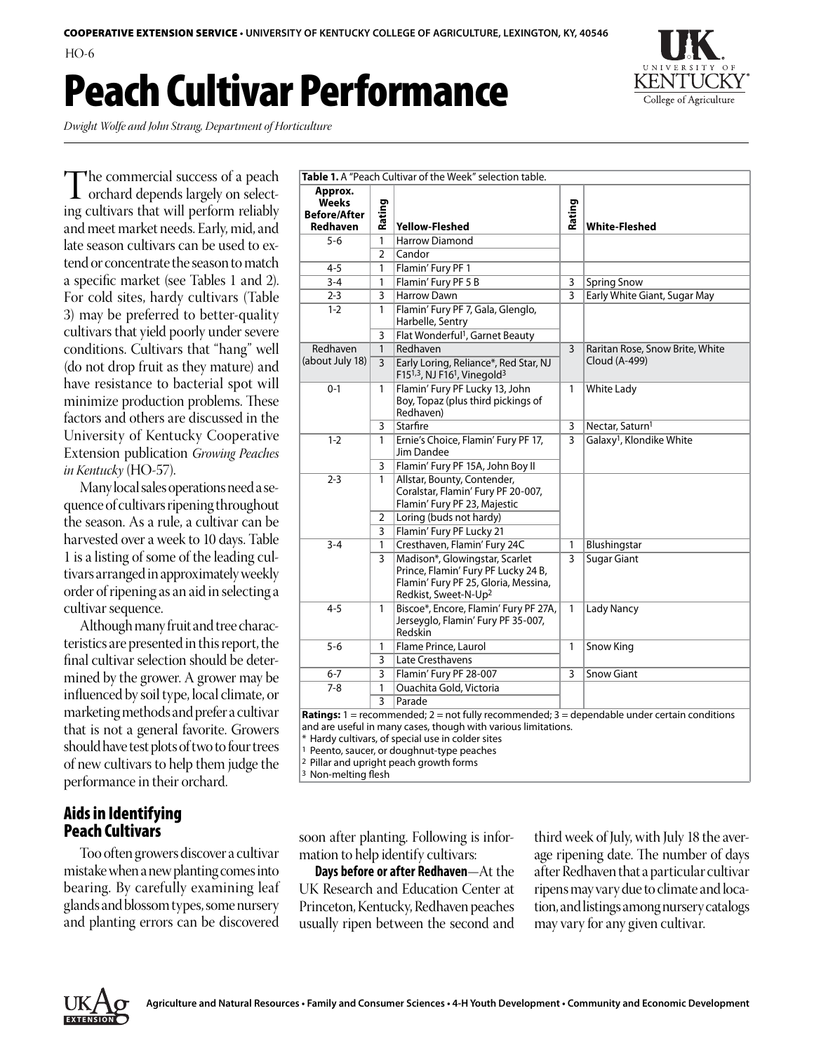HO-6

## Peach Cultivar Performance



*Dwight Wolfe and John Strang, Department of Horticulture*

The commercial success of a peach<br>
orchard depends largely on select-<br>
ing cultivare that will perform reliably ing cultivars that will perform reliably and meet market needs. Early, mid, and late season cultivars can be used to extend or concentrate the season to match a specific market (see Tables 1 and 2). For cold sites, hardy cultivars (Table 3) may be preferred to better-quality cultivars that yield poorly under severe conditions. Cultivars that "hang" well (do not drop fruit as they mature) and have resistance to bacterial spot will minimize production problems. These factors and others are discussed in the University of Kentucky Cooperative Extension publication *Growing Peaches in Kentucky* (HO-57).

Many local sales operations need a sequence of cultivars ripening throughout the season. As a rule, a cultivar can be harvested over a week to 10 days. Table 1 is a listing of some of the leading cultivars arranged in approximately weekly order of ripening as an aid in selecting a cultivar sequence.

Although many fruit and tree characteristics are presented in this report, the final cultivar selection should be determined by the grower. A grower may be influenced by soil type, local climate, or marketing methods and prefer a cultivar that is not a general favorite. Growers should have test plots of two to four trees of new cultivars to help them judge the performance in their orchard.

## Aids in Identifying Peach Cultivars

Too often growers discover a cultivar mistake when a new planting comes into bearing. By carefully examining leaf glands and blossom types, some nursery and planting errors can be discovered

|                                                     |                   | Table 1. A "Peach Cultivar of the Week" selection table.                                                                                          |                |                                                  |
|-----------------------------------------------------|-------------------|---------------------------------------------------------------------------------------------------------------------------------------------------|----------------|--------------------------------------------------|
| Approx.<br>Weeks<br><b>Before/After</b><br>Redhaven | Rating            | <b>Yellow-Fleshed</b>                                                                                                                             | Rating         | <b>White-Fleshed</b>                             |
| 5-6                                                 | 1                 | <b>Harrow Diamond</b>                                                                                                                             |                |                                                  |
|                                                     | 2                 | Candor                                                                                                                                            |                |                                                  |
| $4 - 5$                                             | 1                 | Flamin' Fury PF 1                                                                                                                                 |                |                                                  |
| $3 - 4$                                             | 1                 | Flamin' Fury PF 5 B                                                                                                                               | 3              | <b>Spring Snow</b>                               |
| $2 - 3$                                             | 3                 | Harrow Dawn                                                                                                                                       | $\overline{3}$ | Early White Giant, Sugar May                     |
| $1 - 2$                                             | 1                 | Flamin' Fury PF 7, Gala, Glenglo,<br>Harbelle, Sentry                                                                                             |                |                                                  |
|                                                     | 3                 | Flat Wonderful <sup>1</sup> , Garnet Beauty                                                                                                       |                |                                                  |
| Redhaven<br>(about July 18)                         | $\mathbf{1}$<br>3 | Redhaven<br>Early Loring, Reliance*, Red Star, NJ                                                                                                 | $\overline{3}$ | Raritan Rose, Snow Brite, White<br>Cloud (A-499) |
| $0 - 1$                                             | 1                 | F15 $1,3$ , NJ F16 $1$ , Vinegold $3$<br>Flamin' Fury PF Lucky 13, John<br>Boy, Topaz (plus third pickings of<br>Redhaven)                        | 1              | <b>White Lady</b>                                |
|                                                     | 3                 | Starfire                                                                                                                                          | 3              | Nectar, Saturn <sup>1</sup>                      |
| $1 - 2$                                             | 1                 | Ernie's Choice, Flamin' Fury PF 17,<br>Jim Dandee                                                                                                 | 3              | Galaxy <sup>1</sup> , Klondike White             |
|                                                     | 3                 | Flamin' Fury PF 15A, John Boy II                                                                                                                  |                |                                                  |
| $2 - 3$                                             | 1                 | Allstar, Bounty, Contender,<br>Coralstar, Flamin' Fury PF 20-007,<br>Flamin' Fury PF 23, Majestic                                                 |                |                                                  |
|                                                     | 2                 | Loring (buds not hardy)                                                                                                                           |                |                                                  |
|                                                     | 3                 | Flamin' Fury PF Lucky 21                                                                                                                          |                |                                                  |
| $3 - 4$                                             | 1                 | Cresthaven, Flamin' Fury 24C                                                                                                                      | 1              | Blushingstar                                     |
|                                                     | 3                 | Madison*, Glowingstar, Scarlet<br>Prince, Flamin' Fury PF Lucky 24 B,<br>Flamin' Fury PF 25, Gloria, Messina,<br>Redkist, Sweet-N-Up <sup>2</sup> | 3              | <b>Sugar Giant</b>                               |
| $4 - 5$                                             | 1                 | Biscoe*, Encore, Flamin' Fury PF 27A,<br>Jerseyglo, Flamin' Fury PF 35-007,<br>Redskin                                                            | 1              | <b>Lady Nancy</b>                                |
| $5 - 6$                                             | 1                 | Flame Prince, Laurol                                                                                                                              | Snow King      |                                                  |
|                                                     | 3                 | Late Cresthavens                                                                                                                                  |                |                                                  |
| $6 - 7$                                             | 3                 | Flamin' Fury PF 28-007                                                                                                                            | 3              | <b>Snow Giant</b>                                |
| $7 - 8$                                             | 1                 | Ouachita Gold, Victoria                                                                                                                           |                |                                                  |
|                                                     | 3                 | Parade                                                                                                                                            |                |                                                  |
|                                                     |                   | <b>Ratings:</b> $1 =$ recommended; $2 =$ not fully recommended; $3 =$ dependable under certain conditions                                         |                |                                                  |

and are useful in many cases, though with various limitations.

\* Hardy cultivars, of special use in colder sites

1 Peento, saucer, or doughnut-type peaches

2 Pillar and upright peach growth forms

3 Non-melting flesh

soon after planting. Following is information to help identify cultivars:

**Days before or after Redhaven**—At the UK Research and Education Center at Princeton, Kentucky, Redhaven peaches usually ripen between the second and third week of July, with July 18 the average ripening date. The number of days after Redhaven that a particular cultivar ripens may vary due to climate and location, and listings among nursery catalogs may vary for any given cultivar.

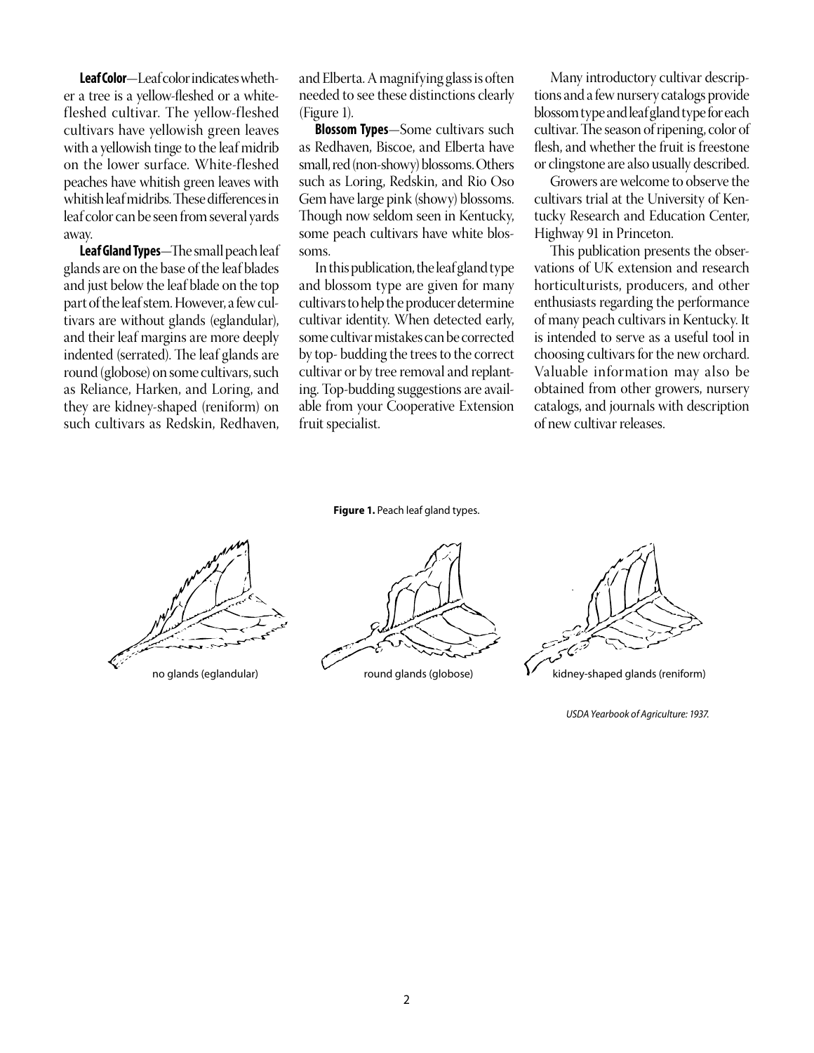**Leaf Color**—Leaf color indicates whether a tree is a yellow-fleshed or a whitefleshed cultivar. The yellow-fleshed cultivars have yellowish green leaves with a yellowish tinge to the leaf midrib on the lower surface. White-fleshed peaches have whitish green leaves with whitish leaf midribs. These differences in leaf color can be seen from several yards away.

**Leaf Gland Types**—The small peach leaf glands are on the base of the leaf blades and just below the leaf blade on the top part of the leaf stem. However, a few cultivars are without glands (eglandular), and their leaf margins are more deeply indented (serrated). The leaf glands are round (globose) on some cultivars, such as Reliance, Harken, and Loring, and they are kidney-shaped (reniform) on such cultivars as Redskin, Redhaven,

and Elberta. A magnifying glass is often needed to see these distinctions clearly (Figure 1).

**Blossom Types**—Some cultivars such as Redhaven, Biscoe, and Elberta have small, red (non-showy) blossoms. Others such as Loring, Redskin, and Rio Oso Gem have large pink (showy) blossoms. Though now seldom seen in Kentucky, some peach cultivars have white blossoms.

In this publication, the leaf gland type and blossom type are given for many cultivars to help the producer determine cultivar identity. When detected early, some cultivar mistakes can be corrected by top- budding the trees to the correct cultivar or by tree removal and replanting. Top-budding suggestions are available from your Cooperative Extension fruit specialist.

**Figure 1.** Peach leaf gland types.

no glands (eglandular) round glands (globose) **in the system of the system** of the state glands (reniform)



Many introductory cultivar descriptions and a few nursery catalogs provide blossom type and leaf gland type for each cultivar. The season of ripening, color of flesh, and whether the fruit is freestone or clingstone are also usually described.

Growers are welcome to observe the cultivars trial at the University of Kentucky Research and Education Center, Highway 91 in Princeton.

This publication presents the observations of UK extension and research horticulturists, producers, and other enthusiasts regarding the performance of many peach cultivars in Kentucky. It is intended to serve as a useful tool in choosing cultivars for the new orchard. Valuable information may also be obtained from other growers, nursery catalogs, and journals with description of new cultivar releases.

*USDA Yearbook of Agriculture: 1937.*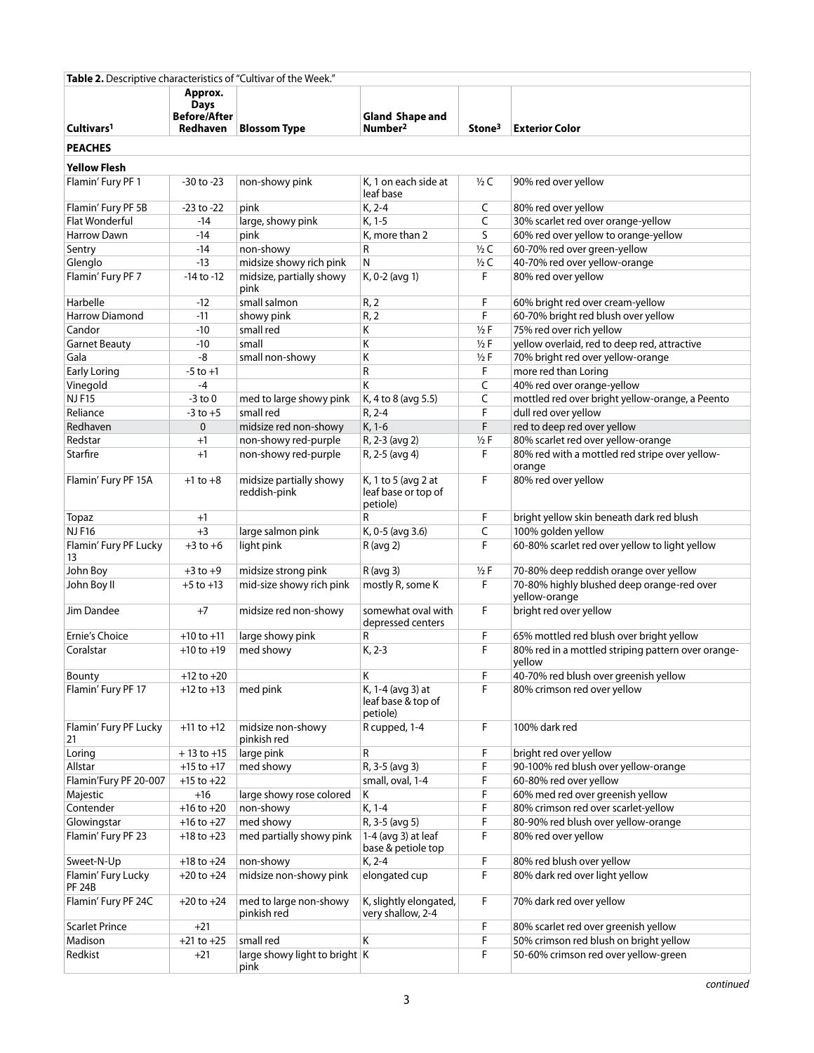| Table 2. Descriptive characteristics of "Cultivar of the Week." |                                                           |                                           |                                                        |                    |                                                              |  |  |  |  |  |
|-----------------------------------------------------------------|-----------------------------------------------------------|-------------------------------------------|--------------------------------------------------------|--------------------|--------------------------------------------------------------|--|--|--|--|--|
| Cultivars <sup>1</sup>                                          | Approx.<br><b>Days</b><br><b>Before/After</b><br>Redhaven | <b>Blossom Type</b>                       | <b>Gland Shape and</b><br>Number <sup>2</sup>          | Stone <sup>3</sup> | <b>Exterior Color</b>                                        |  |  |  |  |  |
|                                                                 |                                                           |                                           |                                                        |                    |                                                              |  |  |  |  |  |
| <b>PEACHES</b>                                                  |                                                           |                                           |                                                        |                    |                                                              |  |  |  |  |  |
| <b>Yellow Flesh</b>                                             |                                                           |                                           |                                                        |                    |                                                              |  |  |  |  |  |
| Flamin' Fury PF 1                                               | $-30$ to $-23$                                            | non-showy pink                            | K, 1 on each side at<br>leaf base                      | $1/2$ C            | 90% red over yellow                                          |  |  |  |  |  |
| Flamin' Fury PF 5B                                              | $-23$ to $-22$                                            | pink                                      | K, 2-4                                                 | C                  | 80% red over yellow                                          |  |  |  |  |  |
| <b>Flat Wonderful</b>                                           | $-14$                                                     | large, showy pink                         | K, 1-5                                                 | C                  | 30% scarlet red over orange-yellow                           |  |  |  |  |  |
| <b>Harrow Dawn</b>                                              | $-14$                                                     | pink                                      | K, more than 2                                         | S                  | 60% red over yellow to orange-yellow                         |  |  |  |  |  |
| Sentry                                                          | $-14$                                                     | non-showy                                 | R                                                      | $1/2$ C            | 60-70% red over green-yellow                                 |  |  |  |  |  |
| Glenglo                                                         | $-13$                                                     | midsize showy rich pink                   | N                                                      | $\frac{1}{2}C$     | 40-70% red over yellow-orange                                |  |  |  |  |  |
| Flamin' Fury PF 7                                               | $-14$ to $-12$                                            | midsize, partially showy<br>pink          | K, 0-2 (avg 1)                                         | F                  | 80% red over yellow                                          |  |  |  |  |  |
| Harbelle                                                        | $-12$                                                     | small salmon                              | R, 2                                                   | F                  | 60% bright red over cream-yellow                             |  |  |  |  |  |
| <b>Harrow Diamond</b>                                           | $-11$                                                     | showy pink                                | R, 2                                                   | F                  | 60-70% bright red blush over yellow                          |  |  |  |  |  |
| Candor                                                          | $-10$                                                     | small red                                 | Κ                                                      | $1/2$ F            | 75% red over rich yellow                                     |  |  |  |  |  |
| <b>Garnet Beauty</b>                                            | $-10$                                                     | small                                     | К                                                      | $1/2$ F            | yellow overlaid, red to deep red, attractive                 |  |  |  |  |  |
| Gala                                                            | -8                                                        | small non-showy                           | К                                                      | $1/2$ F            | 70% bright red over yellow-orange                            |  |  |  |  |  |
| <b>Early Loring</b>                                             | $-5$ to $+1$                                              |                                           | R                                                      | F                  | more red than Loring                                         |  |  |  |  |  |
| Vinegold                                                        | $-4$                                                      |                                           | K                                                      | C                  | 40% red over orange-yellow                                   |  |  |  |  |  |
| <b>NJF15</b>                                                    | $-3$ to $0$                                               | med to large showy pink                   | K, 4 to 8 (avg 5.5)                                    | C                  | mottled red over bright yellow-orange, a Peento              |  |  |  |  |  |
| Reliance                                                        | $-3$ to $+5$                                              | small red                                 | $R, 2-4$                                               | F                  | dull red over yellow                                         |  |  |  |  |  |
| Redhaven                                                        | $\mathbf 0$                                               | midsize red non-showy                     | $K, 1-6$                                               | F                  | red to deep red over yellow                                  |  |  |  |  |  |
| Redstar                                                         | $+1$                                                      | non-showy red-purple                      | R, 2-3 (avg 2)                                         | $1/2$ F<br>F       | 80% scarlet red over yellow-orange                           |  |  |  |  |  |
| Starfire                                                        | $+1$                                                      | non-showy red-purple                      | R, 2-5 (avg 4)                                         |                    | 80% red with a mottled red stripe over yellow-<br>orange     |  |  |  |  |  |
| Flamin' Fury PF 15A                                             | $+1$ to $+8$                                              | midsize partially showy<br>reddish-pink   | K, 1 to 5 (avg 2 at<br>leaf base or top of<br>petiole) | F                  | 80% red over yellow                                          |  |  |  |  |  |
| Topaz                                                           | $+1$                                                      |                                           | R                                                      | F                  | bright yellow skin beneath dark red blush                    |  |  |  |  |  |
| <b>NJF16</b>                                                    | $+3$                                                      | large salmon pink                         | K, 0-5 (avg 3.6)                                       | C                  | 100% golden yellow                                           |  |  |  |  |  |
| Flamin' Fury PF Lucky<br>13                                     | $+3$ to $+6$                                              | light pink                                | F<br>$R$ (avg 2)                                       |                    | 60-80% scarlet red over yellow to light yellow               |  |  |  |  |  |
| John Boy                                                        | $+3$ to $+9$                                              | midsize strong pink                       | $R$ (avg 3)                                            | $1/2$ F            | 70-80% deep reddish orange over yellow                       |  |  |  |  |  |
| John Boy II                                                     | $+5$ to $+13$                                             | mid-size showy rich pink                  | mostly R, some K                                       | F                  | 70-80% highly blushed deep orange-red over<br>yellow-orange  |  |  |  |  |  |
| Jim Dandee                                                      | $+7$                                                      | midsize red non-showy                     | somewhat oval with<br>depressed centers                | F                  | bright red over yellow                                       |  |  |  |  |  |
| Ernie's Choice                                                  | $+10$ to $+11$                                            | large showy pink                          | R                                                      | F                  | 65% mottled red blush over bright yellow                     |  |  |  |  |  |
| Coralstar                                                       | $+10$ to $+19$                                            | med showy                                 | K, 2-3                                                 | F                  | 80% red in a mottled striping pattern over orange-<br>yellow |  |  |  |  |  |
| Bounty                                                          | $+12$ to $+20$                                            |                                           | Κ                                                      | F                  | 40-70% red blush over greenish yellow                        |  |  |  |  |  |
| Flamin' Fury PF 17                                              | $+12$ to $+13$                                            | med pink                                  | K, 1-4 (avg 3) at<br>leaf base & top of<br>petiole)    | F                  | 80% crimson red over yellow                                  |  |  |  |  |  |
| Flamin' Fury PF Lucky<br>21                                     | $+11$ to $+12$                                            | midsize non-showy<br>pinkish red          | R cupped, 1-4                                          | F                  | 100% dark red                                                |  |  |  |  |  |
| Loring                                                          | $+13$ to $+15$                                            | large pink                                | R                                                      | F                  | bright red over yellow                                       |  |  |  |  |  |
| Allstar                                                         | $+15$ to $+17$                                            | med showy                                 | R, 3-5 (avg 3)                                         | F                  | 90-100% red blush over yellow-orange                         |  |  |  |  |  |
| Flamin'Fury PF 20-007                                           | $+15$ to $+22$                                            |                                           | small, oval, 1-4                                       | F                  | 60-80% red over yellow                                       |  |  |  |  |  |
| Majestic                                                        | $+16$                                                     | large showy rose colored                  | Κ                                                      | F                  | 60% med red over greenish yellow                             |  |  |  |  |  |
| Contender                                                       | $+16$ to $+20$                                            | non-showy                                 | K, 1-4                                                 | F                  | 80% crimson red over scarlet-yellow                          |  |  |  |  |  |
| Glowingstar                                                     | $+16$ to $+27$                                            | med showy                                 | R, 3-5 (avg 5)                                         | F                  | 80-90% red blush over yellow-orange                          |  |  |  |  |  |
| Flamin' Fury PF 23                                              | $+18$ to $+23$                                            | med partially showy pink                  | $1-4$ (avg 3) at leaf<br>base & petiole top            | F                  | 80% red over yellow                                          |  |  |  |  |  |
| Sweet-N-Up                                                      | $+18$ to $+24$                                            | non-showy                                 | K, 2-4                                                 | F                  | 80% red blush over yellow                                    |  |  |  |  |  |
| Flamin' Fury Lucky<br><b>PF 24B</b>                             | $+20$ to $+24$                                            | midsize non-showy pink                    | elongated cup                                          | F                  | 80% dark red over light yellow                               |  |  |  |  |  |
| Flamin' Fury PF 24C                                             | $+20$ to $+24$                                            | med to large non-showy<br>pinkish red     | K, slightly elongated,<br>very shallow, 2-4            | F                  | 70% dark red over yellow                                     |  |  |  |  |  |
| <b>Scarlet Prince</b>                                           | $+21$                                                     |                                           |                                                        | F                  | 80% scarlet red over greenish yellow                         |  |  |  |  |  |
| Madison                                                         | $+21$ to $+25$                                            | small red                                 | K                                                      | F                  | 50% crimson red blush on bright yellow                       |  |  |  |  |  |
| Redkist                                                         | $+21$                                                     | large showy light to bright $ K $<br>pink |                                                        | F                  | 50-60% crimson red over yellow-green                         |  |  |  |  |  |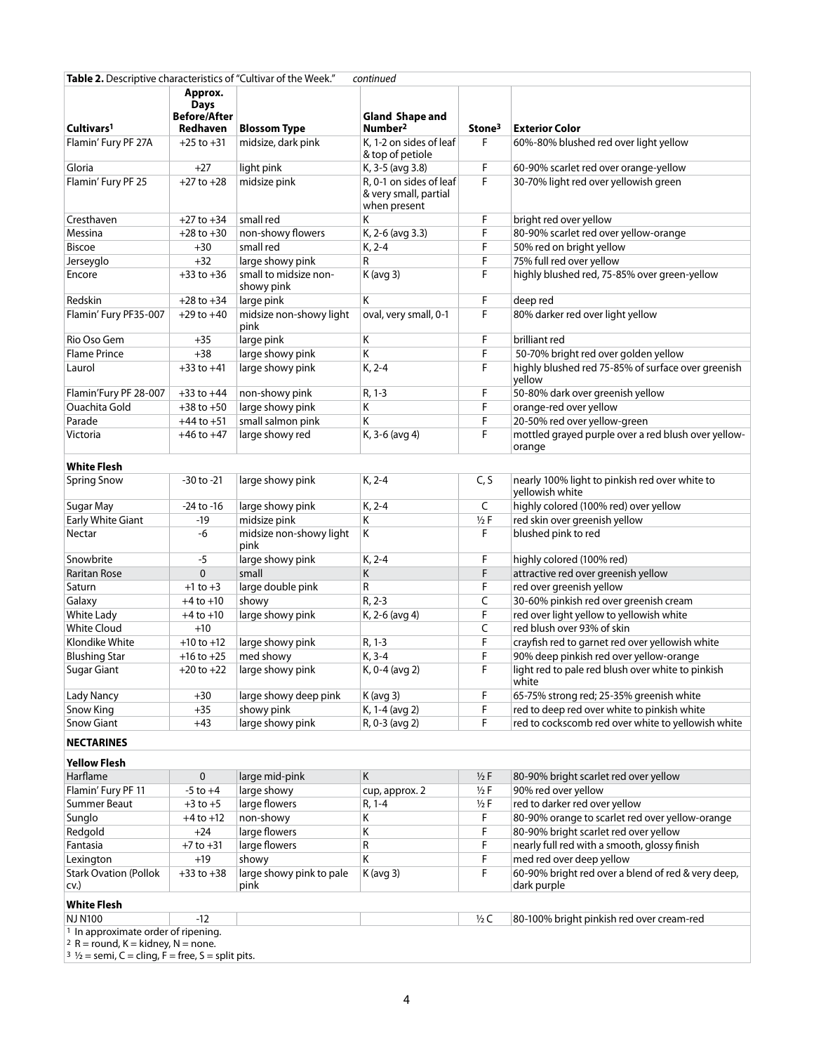| Table 2. Descriptive characteristics of "Cultivar of the Week."<br>continued                                     |                                               |                                     |                                                                       |                    |                                                                   |  |  |  |
|------------------------------------------------------------------------------------------------------------------|-----------------------------------------------|-------------------------------------|-----------------------------------------------------------------------|--------------------|-------------------------------------------------------------------|--|--|--|
|                                                                                                                  | Approx.<br><b>Days</b><br><b>Before/After</b> |                                     | <b>Gland Shape and</b>                                                |                    |                                                                   |  |  |  |
| Cultivars <sup>1</sup>                                                                                           | Redhaven                                      | <b>Blossom Type</b>                 | Number <sup>2</sup>                                                   | Stone <sup>3</sup> | <b>Exterior Color</b>                                             |  |  |  |
| Flamin' Fury PF 27A                                                                                              | $+25$ to $+31$                                | midsize, dark pink                  | K, 1-2 on sides of leaf<br>& top of petiole                           | F                  | 60%-80% blushed red over light yellow                             |  |  |  |
| Gloria                                                                                                           | $+27$                                         | light pink                          | K, 3-5 (avg 3.8)                                                      | F                  | 60-90% scarlet red over orange-yellow                             |  |  |  |
| Flamin' Fury PF 25                                                                                               | $+27$ to $+28$                                | midsize pink                        | R, 0-1 on sides of leaf<br>F<br>& very small, partial<br>when present |                    | 30-70% light red over yellowish green                             |  |  |  |
| Cresthaven                                                                                                       | $+27$ to $+34$                                | small red                           | Κ                                                                     | F                  | bright red over yellow                                            |  |  |  |
| Messina                                                                                                          | $+28$ to $+30$                                | non-showy flowers                   | K, 2-6 (avg 3.3)                                                      | F                  | 80-90% scarlet red over yellow-orange                             |  |  |  |
| <b>Biscoe</b>                                                                                                    | $+30$                                         | small red                           | K, 2-4                                                                | F                  | 50% red on bright yellow                                          |  |  |  |
| Jerseyglo                                                                                                        | $+32$                                         | large showy pink                    | R                                                                     | F                  | 75% full red over yellow                                          |  |  |  |
| Encore                                                                                                           | $+33$ to $+36$                                | small to midsize non-<br>showy pink | $K$ (avg 3)                                                           | F                  | highly blushed red, 75-85% over green-yellow                      |  |  |  |
| Redskin                                                                                                          | $+28$ to $+34$                                | large pink                          | K                                                                     | F                  | deep red                                                          |  |  |  |
| Flamin' Fury PF35-007                                                                                            | $+29$ to $+40$                                | midsize non-showy light<br>pink     | F<br>oval, very small, 0-1                                            |                    | 80% darker red over light yellow                                  |  |  |  |
| Rio Oso Gem                                                                                                      | $+35$                                         | large pink                          | K                                                                     | F                  | brilliant red                                                     |  |  |  |
| <b>Flame Prince</b>                                                                                              | $+38$                                         | large showy pink                    | Κ                                                                     | F                  | 50-70% bright red over golden yellow                              |  |  |  |
| Laurol                                                                                                           | $+33$ to $+41$                                | large showy pink                    | K, 2-4                                                                | F                  | highly blushed red 75-85% of surface over greenish<br>yellow      |  |  |  |
| Flamin'Fury PF 28-007                                                                                            | $+33$ to $+44$                                | non-showy pink                      | R, 1-3                                                                | F                  | 50-80% dark over greenish yellow                                  |  |  |  |
| <b>Ouachita Gold</b>                                                                                             | $+38$ to $+50$                                | large showy pink                    | Κ                                                                     | F                  | orange-red over yellow                                            |  |  |  |
| Parade                                                                                                           | $+44$ to $+51$                                | small salmon pink                   | Κ                                                                     | F                  | 20-50% red over yellow-green                                      |  |  |  |
| Victoria                                                                                                         | $+46$ to $+47$                                | large showy red                     | K, 3-6 (avg 4)                                                        | F                  | mottled grayed purple over a red blush over yellow-<br>orange     |  |  |  |
| <b>White Flesh</b>                                                                                               |                                               |                                     |                                                                       |                    |                                                                   |  |  |  |
| <b>Spring Snow</b>                                                                                               | -30 to -21                                    | large showy pink                    | K, 2-4                                                                | C, S               | nearly 100% light to pinkish red over white to<br>yellowish white |  |  |  |
| Sugar May                                                                                                        | $-24$ to $-16$                                | large showy pink                    | K, 2-4                                                                | C                  | highly colored (100% red) over yellow                             |  |  |  |
| <b>Early White Giant</b>                                                                                         | $-19$                                         | midsize pink                        | Κ                                                                     | $1/2$ F            | red skin over greenish yellow                                     |  |  |  |
| Nectar                                                                                                           | -6                                            | midsize non-showy light<br>pink     | K                                                                     | F                  | blushed pink to red                                               |  |  |  |
| Snowbrite                                                                                                        | $-5$                                          | large showy pink                    | K, 2-4                                                                | F                  | highly colored (100% red)                                         |  |  |  |
| <b>Raritan Rose</b>                                                                                              | $\mathbf{0}$                                  | small                               | Κ                                                                     | F                  | attractive red over greenish yellow                               |  |  |  |
| Saturn                                                                                                           | $+1$ to $+3$                                  | large double pink                   | R                                                                     | F                  | red over greenish yellow                                          |  |  |  |
| Galaxy                                                                                                           | $+4$ to $+10$                                 | showy                               | $R, 2-3$                                                              | C                  | 30-60% pinkish red over greenish cream                            |  |  |  |
| <b>White Lady</b>                                                                                                | $+4$ to $+10$                                 | large showy pink                    | K, 2-6 (avg 4)                                                        | F                  | red over light yellow to yellowish white                          |  |  |  |
| <b>White Cloud</b>                                                                                               | $+10$                                         |                                     |                                                                       | C                  | red blush over 93% of skin                                        |  |  |  |
| Klondike White                                                                                                   | $+10$ to $+12$                                | large showy pink                    | R, 1-3                                                                | F                  | crayfish red to garnet red over yellowish white                   |  |  |  |
| <b>Blushing Star</b>                                                                                             | $+16$ to $+25$                                | med showy                           | K, 3-4                                                                | F                  | 90% deep pinkish red over yellow-orange                           |  |  |  |
| Sugar Giant                                                                                                      | $+20$ to $+22$                                | large showy pink                    | K, 0-4 (avg 2)                                                        | F                  | light red to pale red blush over white to pinkish<br>white        |  |  |  |
| <b>Lady Nancy</b>                                                                                                | $+30$                                         | large showy deep pink               | $K$ (avg 3)                                                           | F                  | 65-75% strong red; 25-35% greenish white                          |  |  |  |
| Snow King                                                                                                        | $+35$                                         | showy pink                          | K, 1-4 (avg 2)                                                        | F                  | red to deep red over white to pinkish white                       |  |  |  |
| <b>Snow Giant</b>                                                                                                | $+43$                                         | large showy pink                    | R, 0-3 (avg 2)                                                        | F                  | red to cockscomb red over white to yellowish white                |  |  |  |
| <b>NECTARINES</b>                                                                                                |                                               |                                     |                                                                       |                    |                                                                   |  |  |  |
| <b>Yellow Flesh</b>                                                                                              |                                               |                                     |                                                                       |                    |                                                                   |  |  |  |
| Harflame                                                                                                         | 0                                             | large mid-pink                      | Κ                                                                     | $1/2$ F            | 80-90% bright scarlet red over yellow                             |  |  |  |
| Flamin' Fury PF 11                                                                                               | $-5$ to $+4$                                  | large showy                         | cup, approx. 2                                                        | $1/2$ F            | 90% red over yellow                                               |  |  |  |
| <b>Summer Beaut</b>                                                                                              | $+3$ to $+5$                                  | large flowers                       | R, 1-4                                                                | $1/2$ F            | red to darker red over yellow                                     |  |  |  |
| Sunglo                                                                                                           | $+4$ to $+12$                                 | non-showy                           | Κ                                                                     | F                  | 80-90% orange to scarlet red over yellow-orange                   |  |  |  |
| Redgold                                                                                                          | $+24$                                         | large flowers                       | Κ                                                                     | F                  | 80-90% bright scarlet red over yellow                             |  |  |  |
| Fantasia                                                                                                         | $+7$ to $+31$                                 | large flowers                       | R                                                                     | F                  | nearly full red with a smooth, glossy finish                      |  |  |  |
| Lexington                                                                                                        | $+19$                                         | showy                               | Κ                                                                     | F                  | med red over deep yellow                                          |  |  |  |
| <b>Stark Ovation (Pollok</b><br>CV.                                                                              | $+33$ to $+38$                                | large showy pink to pale<br>pink    | $K$ (avg 3)                                                           | F                  | 60-90% bright red over a blend of red & very deep,<br>dark purple |  |  |  |
| <b>White Flesh</b>                                                                                               |                                               |                                     |                                                                       |                    |                                                                   |  |  |  |
| <b>NJ N100</b>                                                                                                   | $-12$                                         |                                     |                                                                       | $\frac{1}{2}C$     | 80-100% bright pinkish red over cream-red                         |  |  |  |
| <sup>1</sup> In approximate order of ripening.                                                                   |                                               |                                     |                                                                       |                    |                                                                   |  |  |  |
| $2 R$ = round, K = kidney, N = none.<br>$\frac{3}{2}$ $\frac{1}{2}$ = semi, C = cling, F = free, S = split pits. |                                               |                                     |                                                                       |                    |                                                                   |  |  |  |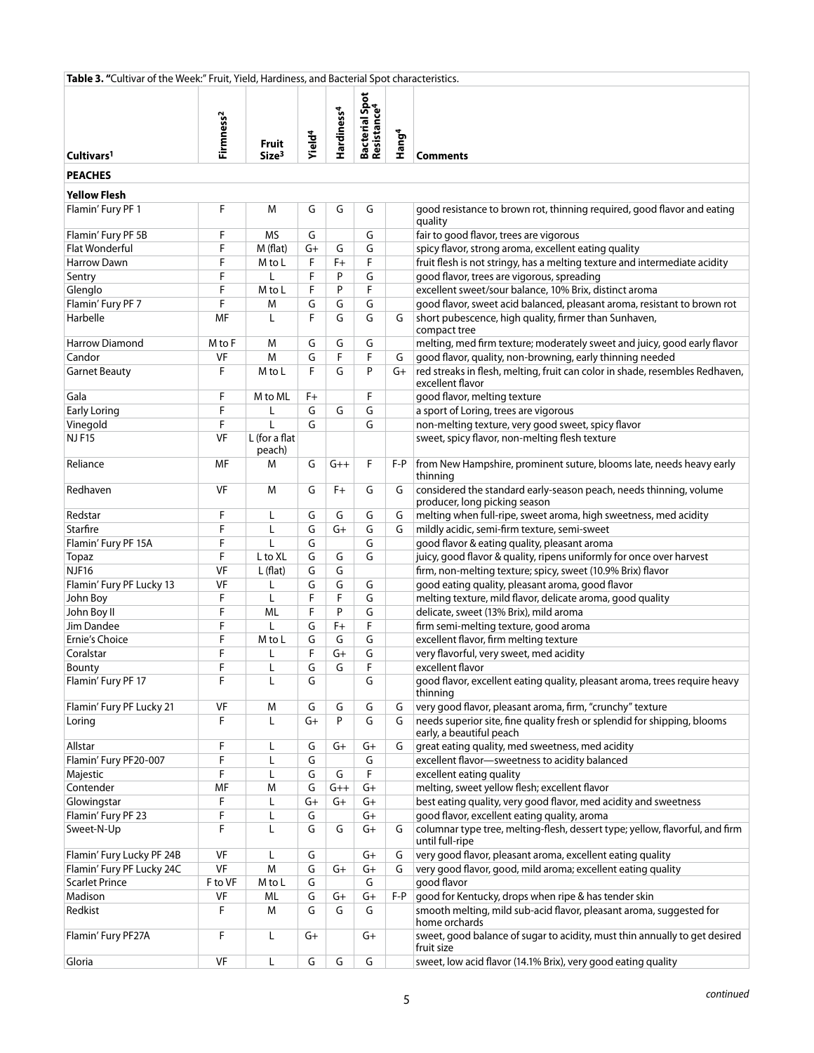| Table 3. "Cultivar of the Week:" Fruit, Yield, Hardiness, and Bacterial Spot characteristics. |                       |                            |                    |                        |                                           |                   |                                                                                                      |
|-----------------------------------------------------------------------------------------------|-----------------------|----------------------------|--------------------|------------------------|-------------------------------------------|-------------------|------------------------------------------------------------------------------------------------------|
| Cultivars <sup>1</sup>                                                                        | Firmness <sup>2</sup> | Fruit<br>Size <sup>3</sup> | Yield <sup>4</sup> | Hardiness <sup>4</sup> | Bacterial Spot<br>Resistance <sup>4</sup> | Hang <sup>4</sup> | <b>Comments</b>                                                                                      |
|                                                                                               |                       |                            |                    |                        |                                           |                   |                                                                                                      |
| <b>PEACHES</b>                                                                                |                       |                            |                    |                        |                                           |                   |                                                                                                      |
| <b>Yellow Flesh</b>                                                                           |                       |                            |                    |                        |                                           |                   |                                                                                                      |
| Flamin' Fury PF 1                                                                             | F                     | M                          | G                  | G                      | G                                         |                   | good resistance to brown rot, thinning required, good flavor and eating<br>quality                   |
| Flamin' Fury PF 5B                                                                            | F                     | <b>MS</b>                  | G                  |                        | G                                         |                   | fair to good flavor, trees are vigorous                                                              |
| <b>Flat Wonderful</b>                                                                         | F                     | M (flat)                   | $G+$               | G                      | G                                         |                   | spicy flavor, strong aroma, excellent eating quality                                                 |
| <b>Harrow Dawn</b>                                                                            | F                     | M to L                     | F                  | $F +$                  | F                                         |                   | fruit flesh is not stringy, has a melting texture and intermediate acidity                           |
| Sentry                                                                                        | F                     | L                          | F                  | P                      | G                                         |                   | good flavor, trees are vigorous, spreading                                                           |
| Glenglo                                                                                       | F                     | M to L                     | F                  | P                      | F                                         |                   | excellent sweet/sour balance, 10% Brix, distinct aroma                                               |
| Flamin' Fury PF 7                                                                             | F                     | M                          | G                  | G                      | G                                         |                   | good flavor, sweet acid balanced, pleasant aroma, resistant to brown rot                             |
| Harbelle                                                                                      | MF                    | L                          | F                  | G                      | G                                         | G                 | short pubescence, high quality, firmer than Sunhaven,<br>compact tree                                |
| <b>Harrow Diamond</b>                                                                         | M to F                | M                          | G                  | G                      | G                                         |                   | melting, med firm texture; moderately sweet and juicy, good early flavor                             |
| Candor                                                                                        | VF                    | M                          | G                  | F                      | F                                         | G                 | good flavor, quality, non-browning, early thinning needed                                            |
| <b>Garnet Beauty</b>                                                                          | F                     | M to L                     | F                  | G                      | P                                         | $G+$              | red streaks in flesh, melting, fruit can color in shade, resembles Redhaven,<br>excellent flavor     |
| Gala                                                                                          | F                     | M to ML                    | $F+$               |                        | F                                         |                   | good flavor, melting texture                                                                         |
| <b>Early Loring</b>                                                                           | F                     | L                          | G                  | G                      | G                                         |                   | a sport of Loring, trees are vigorous                                                                |
| Vinegold                                                                                      | F                     | $\mathsf{L}$               | G                  |                        | G                                         |                   | non-melting texture, very good sweet, spicy flavor                                                   |
| <b>NJF15</b>                                                                                  | <b>VF</b>             | L (for a flat              |                    |                        |                                           |                   | sweet, spicy flavor, non-melting flesh texture                                                       |
| Reliance                                                                                      | MF                    | peach)<br>м                | G                  | $G++$                  | F                                         | $F - P$           | from New Hampshire, prominent suture, blooms late, needs heavy early                                 |
|                                                                                               |                       |                            |                    |                        |                                           |                   | thinning                                                                                             |
| Redhaven                                                                                      | VF                    | M                          | G                  | $F+$                   | G                                         | G                 | considered the standard early-season peach, needs thinning, volume<br>producer, long picking season  |
| Redstar                                                                                       | F                     | L                          | G                  | G                      | G                                         | G                 | melting when full-ripe, sweet aroma, high sweetness, med acidity                                     |
| Starfire                                                                                      | F                     | L                          | G                  | $G+$                   | G                                         | G                 | mildly acidic, semi-firm texture, semi-sweet                                                         |
| Flamin' Fury PF 15A                                                                           | F                     | $\mathbf{I}$               | G                  |                        | G                                         |                   | good flavor & eating quality, pleasant aroma                                                         |
| Topaz                                                                                         | F                     | L to XL                    | G                  | G                      | G                                         |                   | juicy, good flavor & quality, ripens uniformly for once over harvest                                 |
| <b>NJF16</b>                                                                                  | VF                    | L(flat)                    | G                  | G                      |                                           |                   | firm, non-melting texture; spicy, sweet (10.9% Brix) flavor                                          |
| Flamin' Fury PF Lucky 13                                                                      | VF                    | L                          | G                  | G                      | G                                         |                   | good eating quality, pleasant aroma, good flavor                                                     |
| John Boy                                                                                      | F                     | L                          | F                  | F                      | G                                         |                   | melting texture, mild flavor, delicate aroma, good quality                                           |
| John Boy II                                                                                   | F                     | ML                         | F                  | P                      | G                                         |                   | delicate, sweet (13% Brix), mild aroma                                                               |
| Jim Dandee                                                                                    | F                     |                            | G                  | $F+$                   | F                                         |                   | firm semi-melting texture, good aroma                                                                |
| Ernie's Choice                                                                                | F                     | M to L                     | G                  | G                      | G                                         |                   | excellent flavor, firm melting texture                                                               |
| Coralstar                                                                                     | F                     | L                          | F                  | $G+$                   | G                                         |                   | very flavorful, very sweet, med acidity<br>excellent flavor                                          |
| Bounty<br>Flamin' Fury PF 17                                                                  | F<br>F                | L<br>L                     | G<br>G             | G                      | F<br>G                                    |                   | good flavor, excellent eating quality, pleasant aroma, trees require heavy                           |
|                                                                                               |                       |                            |                    |                        |                                           |                   | thinning                                                                                             |
| Flamin' Fury PF Lucky 21                                                                      | VF                    | M                          | G                  | G                      | G                                         | G                 | very good flavor, pleasant aroma, firm, "crunchy" texture                                            |
| Loring                                                                                        | F                     | L                          | G+                 | P                      | G                                         | G                 | needs superior site, fine quality fresh or splendid for shipping, blooms<br>early, a beautiful peach |
| Allstar                                                                                       | F                     | L                          | G                  | G+                     | G+                                        | G                 | great eating quality, med sweetness, med acidity                                                     |
| Flamin' Fury PF20-007                                                                         | F                     | L                          | G                  |                        | G                                         |                   | excellent flavor-sweetness to acidity balanced                                                       |
| Majestic                                                                                      | F                     | L                          | G                  | G                      | F                                         |                   | excellent eating quality                                                                             |
| Contender                                                                                     | MF                    | M                          | G                  | $G++$                  | $G+$                                      |                   | melting, sweet yellow flesh; excellent flavor                                                        |
| Glowingstar                                                                                   | F                     | L                          | $G+$               | G+                     | $G+$                                      |                   | best eating quality, very good flavor, med acidity and sweetness                                     |
| Flamin' Fury PF 23                                                                            | F                     | L                          | G                  |                        | $G+$                                      |                   | good flavor, excellent eating quality, aroma                                                         |
| Sweet-N-Up                                                                                    | F                     | L                          | G                  | G                      | G+                                        | G                 | columnar type tree, melting-flesh, dessert type; yellow, flavorful, and firm<br>until full-ripe      |
| Flamin' Fury Lucky PF 24B                                                                     | VF                    | L                          | G                  |                        | G+                                        | G                 | very good flavor, pleasant aroma, excellent eating quality                                           |
| Flamin' Fury PF Lucky 24C                                                                     | VF                    | M                          | G                  | G+                     | G+                                        | G                 | very good flavor, good, mild aroma; excellent eating quality                                         |
| <b>Scarlet Prince</b>                                                                         | F to VF               | M to L                     | G                  |                        | G                                         |                   | good flavor                                                                                          |
| Madison                                                                                       | VF                    | ML                         | G                  | $G+$                   | $G+$                                      | $F - P$           | good for Kentucky, drops when ripe & has tender skin                                                 |
| Redkist                                                                                       | F                     | м                          | G                  | G                      | G                                         |                   | smooth melting, mild sub-acid flavor, pleasant aroma, suggested for<br>home orchards                 |
| Flamin' Fury PF27A                                                                            | F                     | L                          | $G+$               |                        | G+                                        |                   | sweet, good balance of sugar to acidity, must thin annually to get desired<br>fruit size             |
| Gloria                                                                                        | VF                    | Г                          | G                  | G                      | G                                         |                   | sweet, low acid flavor (14.1% Brix), very good eating quality                                        |